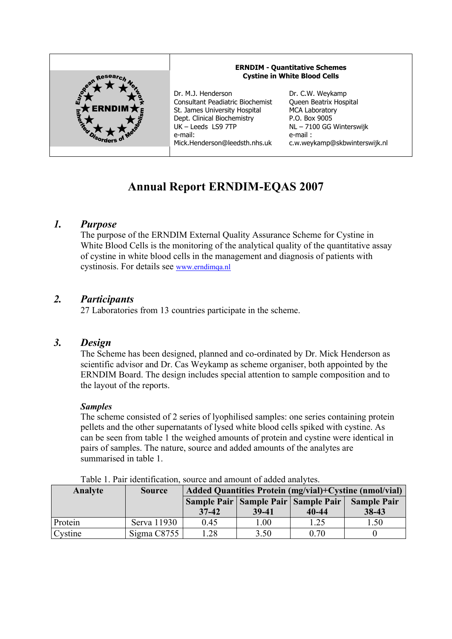

# **Annual Report ERNDIM-EQAS 2007**

# *1. Purpose*

The purpose of the ERNDIM External Quality Assurance Scheme for Cystine in White Blood Cells is the monitoring of the analytical quality of the quantitative assay of cystine in white blood cells in the management and diagnosis of patients with cystinosis. For details see www.erndimqa.nl

# *2. Participants*

27 Laboratories from 13 countries participate in the scheme.

### *3. Design*

The Scheme has been designed, planned and co-ordinated by Dr. Mick Henderson as scientific advisor and Dr. Cas Weykamp as scheme organiser, both appointed by the ERNDIM Board. The design includes special attention to sample composition and to the layout of the reports.

#### *Samples*

The scheme consisted of 2 series of lyophilised samples: one series containing protein pellets and the other supernatants of lysed white blood cells spiked with cystine. As can be seen from table 1 the weighed amounts of protein and cystine were identical in pairs of samples. The nature, source and added amounts of the analytes are summarised in table 1.

| Tuble 1. I all Rechtmeation, bource and amount of added and view. |               |                                                        |                                         |           |                    |
|-------------------------------------------------------------------|---------------|--------------------------------------------------------|-----------------------------------------|-----------|--------------------|
| Analyte                                                           | <b>Source</b> | Added Quantities Protein (mg/vial)+Cystine (nmol/vial) |                                         |           |                    |
|                                                                   |               |                                                        | Sample Pair   Sample Pair   Sample Pair |           | <b>Sample Pair</b> |
|                                                                   |               | $37-42$                                                | 39-41                                   | $40 - 44$ | 38-43              |
| Protein                                                           | Serva 11930   | 0.45                                                   | 1.00                                    | 1.25      | 1.50               |
| Cystine                                                           | Sigma C8755   | .28                                                    | 3.50                                    | 0.70      |                    |

Table 1. Pair identification, source and amount of added analytes.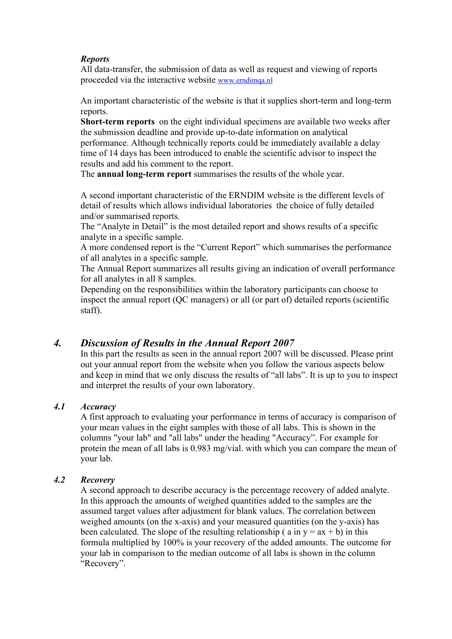#### *Reports*

All data-transfer, the submission of data as well as request and viewing of reports proceeded via the interactive website www.erndimqa.nl

An important characteristic of the website is that it supplies short-term and long-term reports.

**Short-term reports** on the eight individual specimens are available two weeks after the submission deadline and provide up-to-date information on analytical performance. Although technically reports could be immediately available a delay time of 14 days has been introduced to enable the scientific advisor to inspect the results and add his comment to the report.

The **annual long-term report** summarises the results of the whole year.

A second important characteristic of the ERNDIM website is the different levels of detail of results which allows individual laboratories the choice of fully detailed and/or summarised reports.

The "Analyte in Detail" is the most detailed report and shows results of a specific analyte in a specific sample.

A more condensed report is the "Current Report" which summarises the performance of all analytes in a specific sample.

The Annual Report summarizes all results giving an indication of overall performance for all analytes in all 8 samples.

Depending on the responsibilities within the laboratory participants can choose to inspect the annual report (QC managers) or all (or part of) detailed reports (scientific staff).

# *4. Discussion of Results in the Annual Report 2007*

In this part the results as seen in the annual report 2007 will be discussed. Please print out your annual report from the website when you follow the various aspects below and keep in mind that we only discuss the results of "all labs". It is up to you to inspect and interpret the results of your own laboratory.

#### *4.1 Accuracy*

A first approach to evaluating your performance in terms of accuracy is comparison of your mean values in the eight samples with those of all labs. This is shown in the columns "your lab" and "all labs" under the heading "Accuracy". For example for protein the mean of all labs is 0.983 mg/vial. with which you can compare the mean of your lab.

#### *4.2 Recovery*

A second approach to describe accuracy is the percentage recovery of added analyte. In this approach the amounts of weighed quantities added to the samples are the assumed target values after adjustment for blank values. The correlation between weighed amounts (on the x-axis) and your measured quantities (on the y-axis) has been calculated. The slope of the resulting relationship ( $a$  in  $y = ax + b$ ) in this formula multiplied by 100% is your recovery of the added amounts. The outcome for your lab in comparison to the median outcome of all labs is shown in the column "Recovery".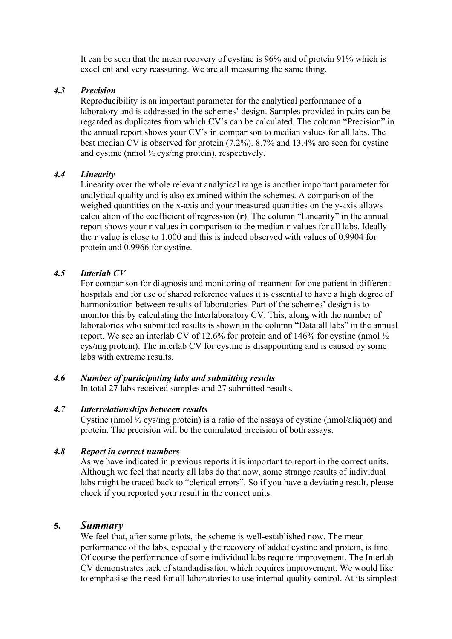It can be seen that the mean recovery of cystine is 96% and of protein 91% which is excellent and very reassuring. We are all measuring the same thing.

#### *4.3 Precision*

Reproducibility is an important parameter for the analytical performance of a laboratory and is addressed in the schemes' design. Samples provided in pairs can be regarded as duplicates from which CV's can be calculated. The column "Precision" in the annual report shows your CV's in comparison to median values for all labs. The best median CV is observed for protein (7.2%). 8.7% and 13.4% are seen for cystine and cystine (nmol  $\frac{1}{2}$  cys/mg protein), respectively.

#### *4.4 Linearity*

Linearity over the whole relevant analytical range is another important parameter for analytical quality and is also examined within the schemes. A comparison of the weighed quantities on the x-axis and your measured quantities on the y-axis allows calculation of the coefficient of regression (**r**). The column "Linearity" in the annual report shows your **r** values in comparison to the median **r** values for all labs. Ideally the **r** value is close to 1.000 and this is indeed observed with values of 0.9904 for protein and 0.9966 for cystine.

#### *4.5 Interlab CV*

For comparison for diagnosis and monitoring of treatment for one patient in different hospitals and for use of shared reference values it is essential to have a high degree of harmonization between results of laboratories. Part of the schemes' design is to monitor this by calculating the Interlaboratory CV. This, along with the number of laboratories who submitted results is shown in the column "Data all labs" in the annual report. We see an interlab CV of 12.6% for protein and of 146% for cystine (nmol ½ cys/mg protein). The interlab CV for cystine is disappointing and is caused by some labs with extreme results.

#### *4.6 Number of participating labs and submitting results*

In total 27 labs received samples and 27 submitted results.

#### *4.7 Interrelationships between results*

Cystine (nmol  $\frac{1}{2}$  cys/mg protein) is a ratio of the assays of cystine (nmol/aliquot) and protein. The precision will be the cumulated precision of both assays.

#### *4.8 Report in correct numbers*

As we have indicated in previous reports it is important to report in the correct units. Although we feel that nearly all labs do that now, some strange results of individual labs might be traced back to "clerical errors". So if you have a deviating result, please check if you reported your result in the correct units.

#### **5.** *Summary*

We feel that, after some pilots, the scheme is well-established now. The mean performance of the labs, especially the recovery of added cystine and protein, is fine. Of course the performance of some individual labs require improvement. The Interlab CV demonstrates lack of standardisation which requires improvement. We would like to emphasise the need for all laboratories to use internal quality control. At its simplest